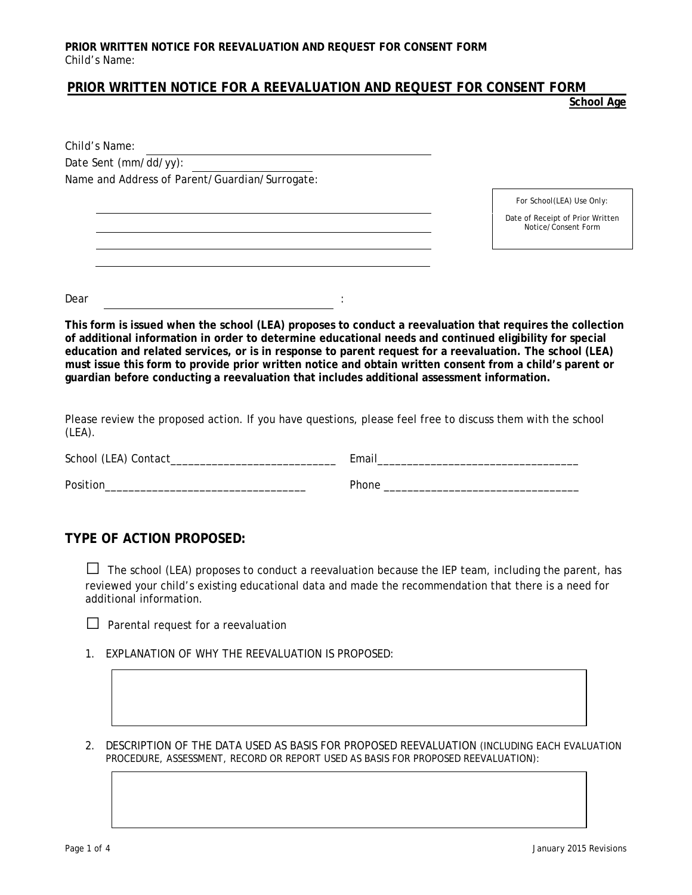### **PRIOR WRITTEN NOTICE FOR A REEVALUATION AND REQUEST FOR CONSENT FORM**

**School Age**

| Child's Name:                                                                                                                                                                                                                                                                                                                                                                                                                                |                                                         |
|----------------------------------------------------------------------------------------------------------------------------------------------------------------------------------------------------------------------------------------------------------------------------------------------------------------------------------------------------------------------------------------------------------------------------------------------|---------------------------------------------------------|
| Date Sent (mm/dd/yy):                                                                                                                                                                                                                                                                                                                                                                                                                        |                                                         |
| Name and Address of Parent/Guardian/Surrogate:                                                                                                                                                                                                                                                                                                                                                                                               |                                                         |
|                                                                                                                                                                                                                                                                                                                                                                                                                                              | For School(LEA) Use Only:                               |
|                                                                                                                                                                                                                                                                                                                                                                                                                                              | Date of Receipt of Prior Written<br>Notice/Consent Form |
|                                                                                                                                                                                                                                                                                                                                                                                                                                              |                                                         |
|                                                                                                                                                                                                                                                                                                                                                                                                                                              |                                                         |
| Dear                                                                                                                                                                                                                                                                                                                                                                                                                                         |                                                         |
| This form is issued when the school (LEA) proposes to conduct a reevaluation that requires the collection<br>of additional information in order to determine educational needs and continued eligibility for special<br>education and related services, or is in response to parent request for a reevaluation. The school (LEA)<br>must issue this form to provide prior written notice and obtain written consent from a child's parent or |                                                         |

**guardian before conducting a reevaluation that includes additional assessment information.** 

Please review the proposed action. If you have questions, please feel free to discuss them with the school (LEA).

| School (LEA) Contact_ | Email |
|-----------------------|-------|
| Position              | Phone |

#### **TYPE OF ACTION PROPOSED:**

**□** The school (LEA) proposes to conduct a reevaluation because the IEP team, including the parent, has reviewed your child's existing educational data and made the recommendation that there is a need for additional information.

|  | $\Box$ Parental request for a reevaluation |
|--|--------------------------------------------|

- 1. EXPLANATION OF WHY THE REEVALUATION IS PROPOSED:
- 2. DESCRIPTION OF THE DATA USED AS BASIS FOR PROPOSED REEVALUATION *(INCLUDING EACH EVALUATION PROCEDURE, ASSESSMENT, RECORD OR REPORT USED AS BASIS FOR PROPOSED REEVALUATION):*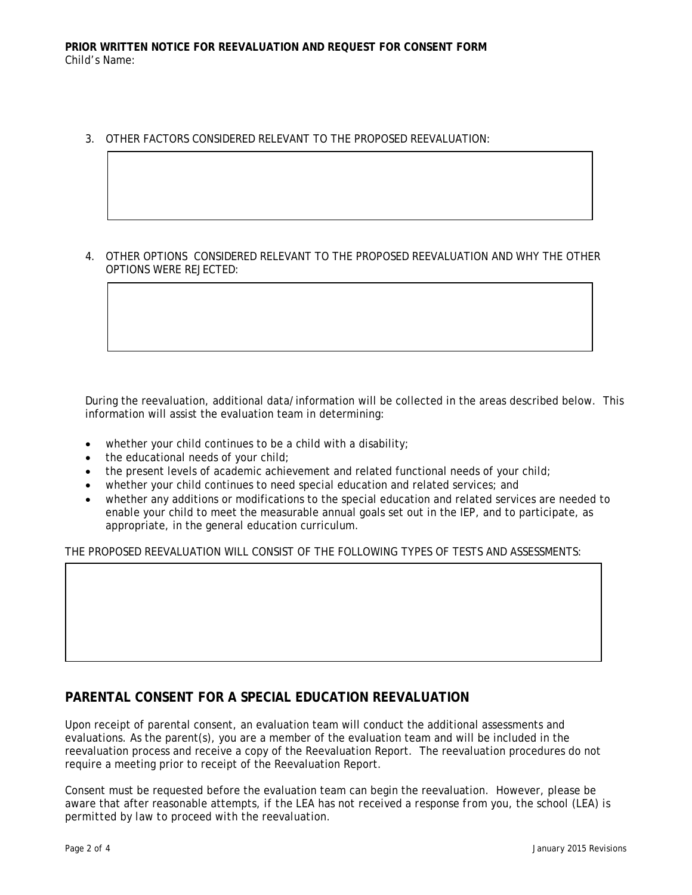3. OTHER FACTORS CONSIDERED RELEVANT TO THE PROPOSED REEVALUATION:

4. OTHER OPTIONS CONSIDERED RELEVANT TO THE PROPOSED REEVALUATION AND WHY THE OTHER OPTIONS WERE REJECTED:

During the reevaluation, additional data/information will be collected in the areas described below. This information will assist the evaluation team in determining:

- whether your child continues to be a child with a disability;
- the educational needs of your child;
- the present levels of academic achievement and related functional needs of your child;
- whether your child continues to need special education and related services; and
- whether any additions or modifications to the special education and related services are needed to enable your child to meet the measurable annual goals set out in the IEP, and to participate, as appropriate, in the general education curriculum.

THE PROPOSED REEVALUATION WILL CONSIST OF THE FOLLOWING TYPES OF TESTS AND ASSESSMENTS:

## **PARENTAL CONSENT FOR A SPECIAL EDUCATION REEVALUATION**

Upon receipt of parental consent, an evaluation team will conduct the additional assessments and evaluations. As the parent(s), you are a member of the evaluation team and will be included in the reevaluation process and receive a copy of the Reevaluation Report. The reevaluation procedures do not require a meeting prior to receipt of the Reevaluation Report.

Consent must be requested before the evaluation team can begin the reevaluation. However, please be aware that after reasonable attempts, *if the LEA has not received a response from you, the school (LEA) is permitted by law to proceed with the reevaluation*.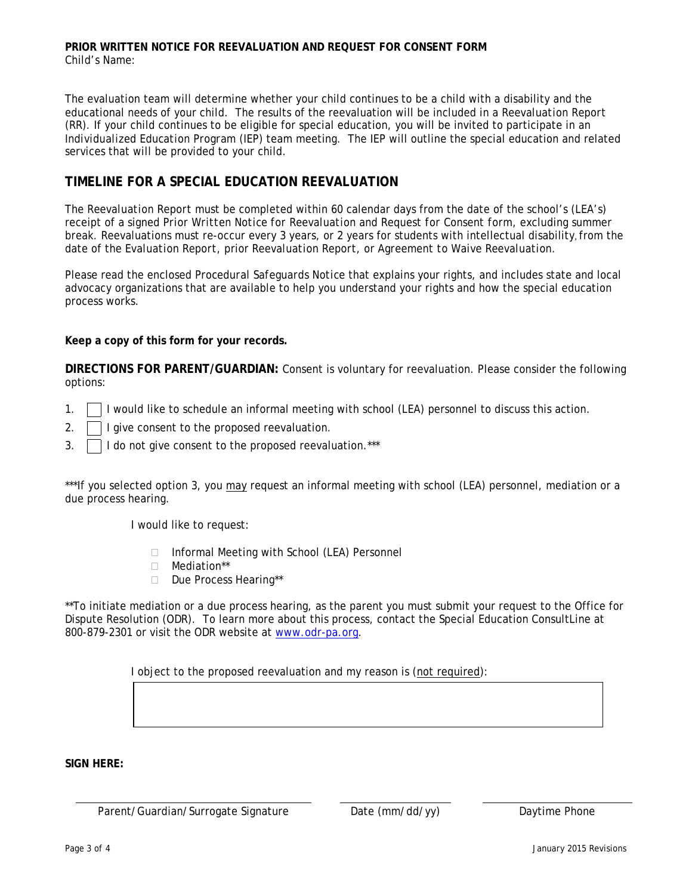#### **PRIOR WRITTEN NOTICE FOR REEVALUATION AND REQUEST FOR CONSENT FORM** Child's Name:

The evaluation team will determine whether your child continues to be a child with a disability and the educational needs of your child. The results of the reevaluation will be included in a *Reevaluation Report (RR)*. If your child continues to be eligible for special education, you will be invited to participate in an *Individualized Education Program (IEP)* team meeting. The IEP will outline the special education and related services that will be provided to your child.

# **TIMELINE FOR A SPECIAL EDUCATION REEVALUATION**

The *Reevaluation Report* must be completed within 60 calendar days from the date of the school's (LEA's) receipt of a signed *Prior Written Notice for Reevaluation and Request for Consent form*, excluding summer break. Reevaluations must re-occur every 3 years, or 2 years for students with intellectual disability, from the date of the *Evaluation Report*, prior *Reevaluation Report*, or *Agreement to Waive Reevaluation*.

Please read the enclosed *Procedural Safeguards Notice* that explains your rights, and includes state and local advocacy organizations that are available to help you understand your rights and how the special education process works.

**Keep a copy of this form for your records.**

**DIRECTIONS FOR PARENT/GUARDIAN:** Consent is voluntary for reevaluation. Please consider the following options:

- 1.  $\Box$  I would like to schedule an informal meeting with school (LEA) personnel to discuss this action.
- 2.  $\Box$  I give consent to the proposed reevaluation.
- 3. | | | do not give consent to the proposed reevaluation.\*\*\*

\*\*\*If you selected option 3, you may request an informal meeting with school (LEA) personnel, mediation or a due process hearing.

I would like to request:

- □ Informal Meeting with School (LEA) Personnel
- Mediation\*\*
- Due Process Hearing\*\*

\*\*To initiate mediation or a due process hearing, as the parent you must submit your request to the Office for Dispute Resolution (ODR). To learn more about this process, contact the Special Education ConsultLine at 800-879-2301 or visit the ODR website at [www.odr-pa.org.](http://www.odr-pa.org/)

I object to the proposed reevaluation and my reason is (not required):

**SIGN HERE:**

Parent/Guardian/Surrogate Signature Date (mm/dd/yy) Daytime Phone